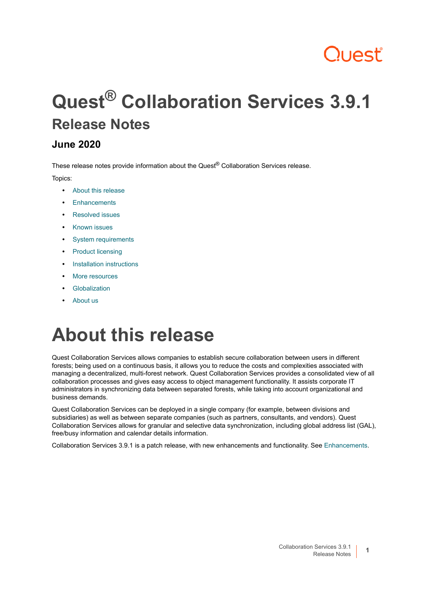# Quest

# **Quest® Collaboration Services 3.9.1 Release Notes**

### **June 2020**

These release notes provide information about the Quest<sup>®</sup> Collaboration Services release.

Topics:

- **•** [About this release](#page-0-0)
- **•** [Enhancements](#page-1-0)
- **•** [Resolved issues](#page-1-1)
- **•** [Known issues](#page-1-2)
- **•** [System requirements](#page-2-0)
- **•** [Product licensing](#page-6-0)
- **•** [Installation instructions](#page-6-1)
- **•** [More resources](#page-7-0)
- **•** [Globalization](#page-7-1)
- **•** [About us](#page-7-2)

# <span id="page-0-0"></span>**About this release**

Quest Collaboration Services allows companies to establish secure collaboration between users in different forests; being used on a continuous basis, it allows you to reduce the costs and complexities associated with managing a decentralized, multi-forest network. Quest Collaboration Services provides a consolidated view of all collaboration processes and gives easy access to object management functionality. It assists corporate IT administrators in synchronizing data between separated forests, while taking into account organizational and business demands.

Quest Collaboration Services can be deployed in a single company (for example, between divisions and subsidiaries) as well as between separate companies (such as partners, consultants, and vendors). Quest Collaboration Services allows for granular and selective data synchronization, including global address list (GAL), free/busy information and calendar details information.

Collaboration Services 3.9.1 is a patch release, with new enhancements and functionality. See [Enhancements.](#page-1-0)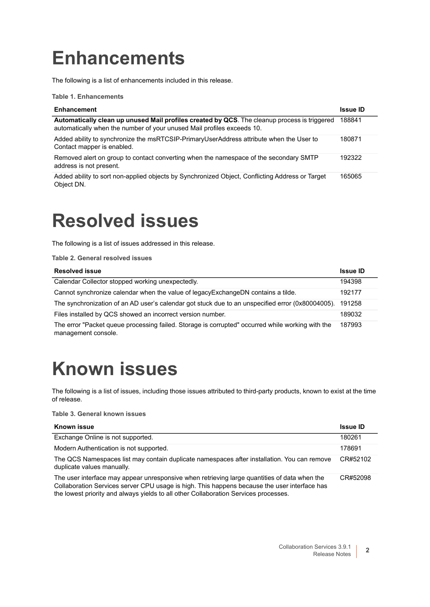# <span id="page-1-0"></span>**Enhancements**

The following is a list of enhancements included in this release.

**Table 1. Enhancements**

| <b>Enhancement</b>                                                                                                                                                     | <b>Issue ID</b> |
|------------------------------------------------------------------------------------------------------------------------------------------------------------------------|-----------------|
| Automatically clean up unused Mail profiles created by QCS. The cleanup process is triggered<br>automatically when the number of your unused Mail profiles exceeds 10. | 188841          |
| Added ability to synchronize the msRTCSIP-PrimaryUserAddress attribute when the User to<br>Contact mapper is enabled.                                                  | 180871          |
| Removed alert on group to contact converting when the namespace of the secondary SMTP<br>address is not present.                                                       | 192322          |
| Added ability to sort non-applied objects by Synchronized Object, Conflicting Address or Target<br>Object DN.                                                          | 165065          |

### <span id="page-1-1"></span>**Resolved issues**

The following is a list of issues addressed in this release.

**Table 2. General resolved issues**

| <b>Resolved issue</b>                                                                                                   | <b>Issue ID</b> |
|-------------------------------------------------------------------------------------------------------------------------|-----------------|
| Calendar Collector stopped working unexpectedly.                                                                        | 194398          |
| Cannot synchronize calendar when the value of legacy Exchange DN contains a tilde.                                      | 192177          |
| The synchronization of an AD user's calendar got stuck due to an unspecified error (0x80004005).                        | 191258          |
| Files installed by QCS showed an incorrect version number.                                                              | 189032          |
| The error "Packet queue processing failed. Storage is corrupted" occurred while working with the<br>management console. | 187993          |

# <span id="page-1-2"></span>**Known issues**

The following is a list of issues, including those issues attributed to third-party products, known to exist at the time of release.

**Table 3. General known issues**

| <b>Known issue</b>                                                                                                                                                                                                                                                                   | <b>Issue ID</b> |
|--------------------------------------------------------------------------------------------------------------------------------------------------------------------------------------------------------------------------------------------------------------------------------------|-----------------|
| Exchange Online is not supported.                                                                                                                                                                                                                                                    | 180261          |
| Modern Authentication is not supported.                                                                                                                                                                                                                                              | 178691          |
| The QCS Namespaces list may contain duplicate namespaces after installation. You can remove<br>duplicate values manually.                                                                                                                                                            | CR#52102        |
| The user interface may appear unresponsive when retrieving large quantities of data when the<br>Collaboration Services server CPU usage is high. This happens because the user interface has<br>the lowest priority and always yields to all other Collaboration Services processes. | CR#52098        |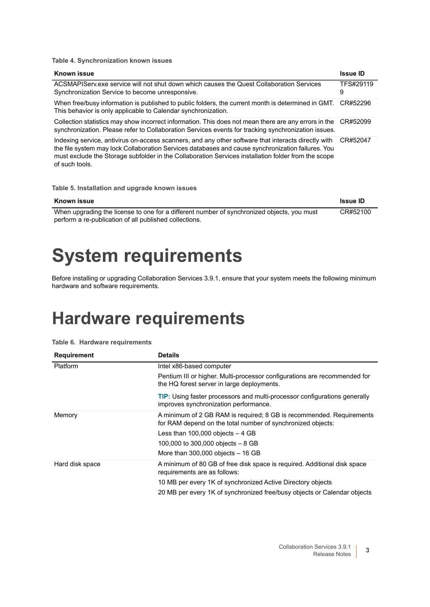**Table 4. Synchronization known issues**

| Known issue                                                                                                                                                                                                                                                                                                                       | <b>Issue ID</b> |
|-----------------------------------------------------------------------------------------------------------------------------------------------------------------------------------------------------------------------------------------------------------------------------------------------------------------------------------|-----------------|
| ACSMAPIServ.exe service will not shut down which causes the Quest Collaboration Services<br>Synchronization Service to become unresponsive.                                                                                                                                                                                       | TFS#29119<br>9  |
| When free/busy information is published to public folders, the current month is determined in GMT.<br>This behavior is only applicable to Calendar synchronization.                                                                                                                                                               | CR#52296        |
| Collection statistics may show incorrect information. This does not mean there are any errors in the<br>synchronization. Please refer to Collaboration Services events for tracking synchronization issues.                                                                                                                       | CR#52099        |
| Indexing service, antivirus on-access scanners, and any other software that interacts directly with<br>the file system may lock Collaboration Services databases and cause synchronization failures. You<br>must exclude the Storage subfolder in the Collaboration Services installation folder from the scope<br>of such tools. | CR#52047        |

**Table 5. Installation and upgrade known issues**

| Known issue                                                                                | <b>Issue ID</b> |
|--------------------------------------------------------------------------------------------|-----------------|
| When upgrading the license to one for a different number of synchronized objects, you must | CR#52100        |
| perform a re-publication of all published collections.                                     |                 |

### <span id="page-2-0"></span>**System requirements**

Before installing or upgrading Collaboration Services 3.9.1, ensure that your system meets the following minimum hardware and software requirements.

### **Hardware requirements**

| <b>Requirement</b> | <b>Details</b>                                                                                                                      |
|--------------------|-------------------------------------------------------------------------------------------------------------------------------------|
| Platform           | Intel x86-based computer                                                                                                            |
|                    | Pentium III or higher. Multi-processor configurations are recommended for<br>the HQ forest server in large deployments.             |
|                    | <b>TIP:</b> Using faster processors and multi-processor configurations generally<br>improves synchronization performance.           |
| Memory             | A minimum of 2 GB RAM is required; 8 GB is recommended. Requirements<br>for RAM depend on the total number of synchronized objects: |
|                    | Less than $100,000$ objects $-4$ GB                                                                                                 |
|                    | 100,000 to 300,000 objects $-8$ GB                                                                                                  |
|                    | More than $300,000$ objects $-16$ GB                                                                                                |
| Hard disk space    | A minimum of 80 GB of free disk space is required. Additional disk space<br>requirements are as follows:                            |
|                    | 10 MB per every 1K of synchronized Active Directory objects                                                                         |
|                    | 20 MB per every 1K of synchronized free/busy objects or Calendar objects                                                            |

**Table 6. Hardware requirements**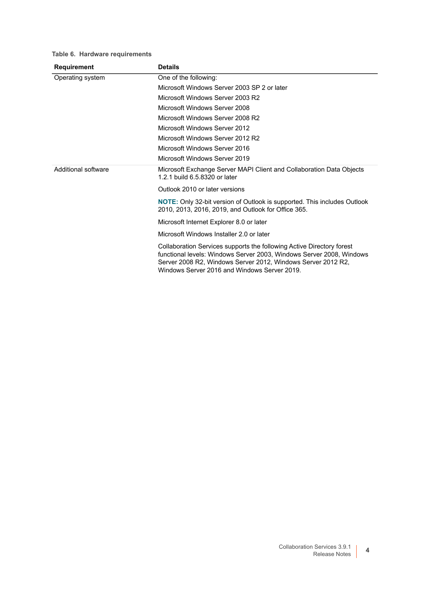| <b>Requirement</b>  | <b>Details</b>                                                                                                                                                                                                                                                |
|---------------------|---------------------------------------------------------------------------------------------------------------------------------------------------------------------------------------------------------------------------------------------------------------|
| Operating system    | One of the following:                                                                                                                                                                                                                                         |
|                     | Microsoft Windows Server 2003 SP 2 or later                                                                                                                                                                                                                   |
|                     | Microsoft Windows Server 2003 R2                                                                                                                                                                                                                              |
|                     | Microsoft Windows Server 2008                                                                                                                                                                                                                                 |
|                     | Microsoft Windows Server 2008 R2                                                                                                                                                                                                                              |
|                     | Microsoft Windows Server 2012                                                                                                                                                                                                                                 |
|                     | Microsoft Windows Server 2012 R2                                                                                                                                                                                                                              |
|                     | Microsoft Windows Server 2016                                                                                                                                                                                                                                 |
|                     | Microsoft Windows Server 2019                                                                                                                                                                                                                                 |
| Additional software | Microsoft Exchange Server MAPI Client and Collaboration Data Objects<br>1.2.1 build 6.5.8320 or later                                                                                                                                                         |
|                     | Outlook 2010 or later versions                                                                                                                                                                                                                                |
|                     | NOTE: Only 32-bit version of Outlook is supported. This includes Outlook<br>2010, 2013, 2016, 2019, and Outlook for Office 365.                                                                                                                               |
|                     | Microsoft Internet Explorer 8.0 or later                                                                                                                                                                                                                      |
|                     | Microsoft Windows Installer 2.0 or later                                                                                                                                                                                                                      |
|                     | Collaboration Services supports the following Active Directory forest<br>functional levels: Windows Server 2003, Windows Server 2008, Windows<br>Server 2008 R2, Windows Server 2012, Windows Server 2012 R2,<br>Windows Server 2016 and Windows Server 2019. |

#### **Table 6. Hardware requirements**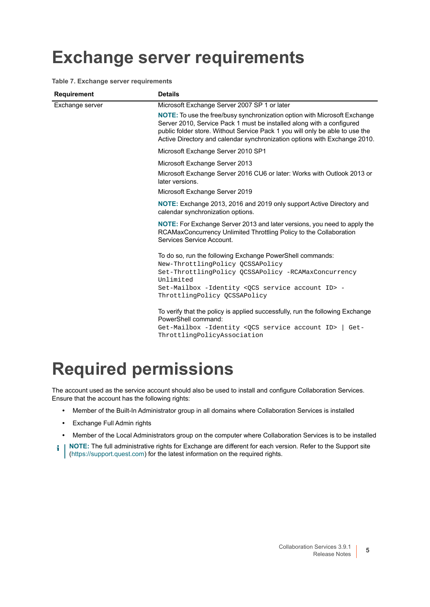### **Exchange server requirements**

**Table 7. Exchange server requirements**

| <b>Requirement</b> | <b>Details</b>                                                                                                                                                                                                                                                                                                  |
|--------------------|-----------------------------------------------------------------------------------------------------------------------------------------------------------------------------------------------------------------------------------------------------------------------------------------------------------------|
| Exchange server    | Microsoft Exchange Server 2007 SP 1 or later                                                                                                                                                                                                                                                                    |
|                    | NOTE: To use the free/busy synchronization option with Microsoft Exchange<br>Server 2010, Service Pack 1 must be installed along with a configured<br>public folder store. Without Service Pack 1 you will only be able to use the<br>Active Directory and calendar synchronization options with Exchange 2010. |
|                    | Microsoft Exchange Server 2010 SP1                                                                                                                                                                                                                                                                              |
|                    | Microsoft Exchange Server 2013<br>Microsoft Exchange Server 2016 CU6 or later: Works with Outlook 2013 or<br>later versions.                                                                                                                                                                                    |
|                    | Microsoft Exchange Server 2019                                                                                                                                                                                                                                                                                  |
|                    | NOTE: Exchange 2013, 2016 and 2019 only support Active Directory and<br>calendar synchronization options.                                                                                                                                                                                                       |
|                    | NOTE: For Exchange Server 2013 and later versions, you need to apply the<br>RCAMaxConcurrency Unlimited Throttling Policy to the Collaboration<br>Services Service Account.                                                                                                                                     |
|                    | To do so, run the following Exchange PowerShell commands:<br>New-ThrottlingPolicy QCSSAPolicy<br>Set-ThrottlingPolicy QCSSAPolicy -RCAMaxConcurrency<br>Unlimited<br>Set-Mailbox -Identity <qcs account="" id="" service=""> -<br/>ThrottlingPolicy QCSSAPolicy</qcs>                                           |
|                    | To verify that the policy is applied successfully, run the following Exchange<br>PowerShell command:<br>Get-Mailbox -Identity <qcs account="" id="" service=""><br/>Get-<br/>ThrottlingPolicyAssociation</qcs>                                                                                                  |

### **Required permissions**

The account used as the service account should also be used to install and configure Collaboration Services. Ensure that the account has the following rights:

- **•** Member of the Built-In Administrator group in all domains where Collaboration Services is installed
- **•** Exchange Full Admin rights
- **•** Member of the Local Administrators group on the computer where Collaboration Services is to be installed
- **i** | NOTE: The full administrative rights for Exchange are different for each version. Refer to the Support site ([https://support.quest.com\)](https://support.quest.com) for the latest information on the required rights.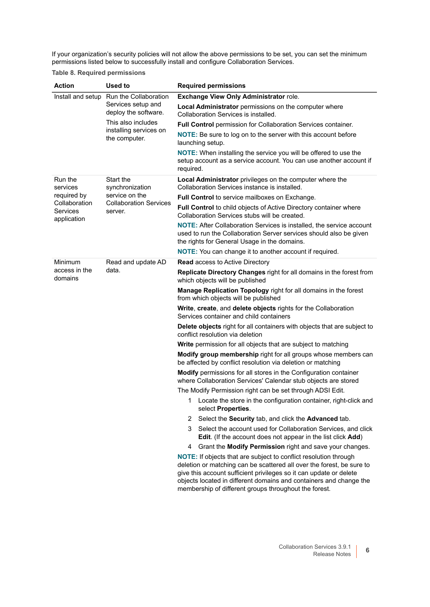If your organization's security policies will not allow the above permissions to be set, you can set the minimum permissions listed below to successfully install and configure Collaboration Services.

#### **Table 8. Required permissions**

| Action                                   | <b>Used to</b>                             | <b>Required permissions</b>                                                                                                                                                                                                                                                                                                                    |
|------------------------------------------|--------------------------------------------|------------------------------------------------------------------------------------------------------------------------------------------------------------------------------------------------------------------------------------------------------------------------------------------------------------------------------------------------|
|                                          | Install and setup Run the Collaboration    | Exchange View Only Administrator role.                                                                                                                                                                                                                                                                                                         |
|                                          | Services setup and<br>deploy the software. | Local Administrator permissions on the computer where<br>Collaboration Services is installed.                                                                                                                                                                                                                                                  |
|                                          | This also includes                         | Full Control permission for Collaboration Services container.                                                                                                                                                                                                                                                                                  |
|                                          | installing services on<br>the computer.    | NOTE: Be sure to log on to the server with this account before<br>launching setup.                                                                                                                                                                                                                                                             |
|                                          |                                            | NOTE: When installing the service you will be offered to use the<br>setup account as a service account. You can use another account if<br>required.                                                                                                                                                                                            |
| Run the<br>services                      | Start the<br>synchronization               | Local Administrator privileges on the computer where the<br>Collaboration Services instance is installed.                                                                                                                                                                                                                                      |
| required by                              | service on the                             | Full Control to service mailboxes on Exchange.                                                                                                                                                                                                                                                                                                 |
| Collaboration<br>Services<br>application | <b>Collaboration Services</b><br>server.   | Full Control to child objects of Active Directory container where<br>Collaboration Services stubs will be created.                                                                                                                                                                                                                             |
|                                          |                                            | <b>NOTE:</b> After Collaboration Services is installed, the service account<br>used to run the Collaboration Server services should also be given<br>the rights for General Usage in the domains.                                                                                                                                              |
|                                          |                                            | <b>NOTE:</b> You can change it to another account if required.                                                                                                                                                                                                                                                                                 |
| Minimum<br>access in the<br>domains      | Read and update AD<br>data.                | <b>Read</b> access to Active Directory                                                                                                                                                                                                                                                                                                         |
|                                          |                                            | Replicate Directory Changes right for all domains in the forest from<br>which objects will be published                                                                                                                                                                                                                                        |
|                                          |                                            | Manage Replication Topology right for all domains in the forest<br>from which objects will be published                                                                                                                                                                                                                                        |
|                                          |                                            | Write, create, and delete objects rights for the Collaboration<br>Services container and child containers                                                                                                                                                                                                                                      |
|                                          |                                            | Delete objects right for all containers with objects that are subject to<br>conflict resolution via deletion                                                                                                                                                                                                                                   |
|                                          |                                            | Write permission for all objects that are subject to matching                                                                                                                                                                                                                                                                                  |
|                                          |                                            | Modify group membership right for all groups whose members can<br>be affected by conflict resolution via deletion or matching                                                                                                                                                                                                                  |
|                                          |                                            | Modify permissions for all stores in the Configuration container<br>where Collaboration Services' Calendar stub objects are stored                                                                                                                                                                                                             |
|                                          |                                            | The Modify Permission right can be set through ADSI Edit.                                                                                                                                                                                                                                                                                      |
|                                          |                                            | 1 Locate the store in the configuration container, right-click and<br>select Properties.                                                                                                                                                                                                                                                       |
|                                          |                                            | Select the Security tab, and click the Advanced tab.<br>2                                                                                                                                                                                                                                                                                      |
|                                          |                                            | 3<br>Select the account used for Collaboration Services, and click<br>Edit. (If the account does not appear in the list click Add)                                                                                                                                                                                                             |
|                                          |                                            | Grant the Modify Permission right and save your changes.<br>4                                                                                                                                                                                                                                                                                  |
|                                          |                                            | NOTE: If objects that are subject to conflict resolution through<br>deletion or matching can be scattered all over the forest, be sure to<br>give this account sufficient privileges so it can update or delete<br>objects located in different domains and containers and change the<br>membership of different groups throughout the forest. |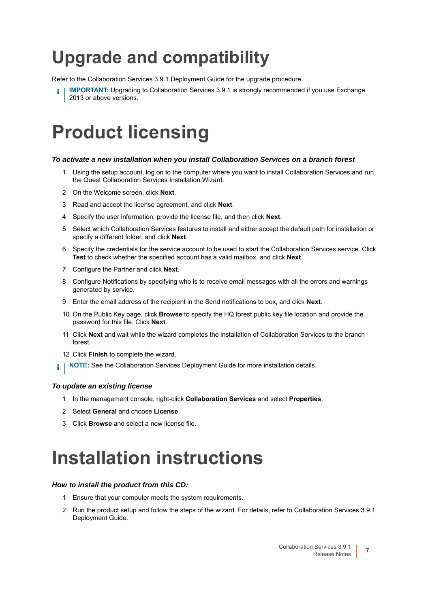# **Upgrade and compatibility**

Refer to the Collaboration Services 3.9.1 Deployment Guide for the upgrade procedure.

**IMPORTANT:** Upgrading to Collaboration Services 3.9.1 is strongly recommended if you use Exchange 2013 or above versions.

### <span id="page-6-0"></span>**Product licensing**

#### *To activate a new installation when you install Collaboration Services on a branch forest*

- 1 Using the setup account, log on to the computer where you want to install Collaboration Services and run the Quest Collaboration Services Installation Wizard.
- 2 On the Welcome screen, click **Next**.
- 3 Read and accept the license agreement, and click **Next**.
- 4 Specify the user information, provide the license file, and then click **Next**.
- 5 Select which Collaboration Services features to install and either accept the default path for installation or specify a different folder, and click **Next**.
- 6 Specify the credentials for the service account to be used to start the Collaboration Services service. Click **Test** to check whether the specified account has a valid mailbox, and click **Next**.
- 7 Configure the Partner and click **Next**.
- 8 Configure Notifications by specifying who is to receive email messages with all the errors and warnings generated by service.
- 9 Enter the email address of the recipient in the Send notifications to box, and click **Next**.
- 10 On the Public Key page, click **Browse** to specify the HQ forest public key file location and provide the password for this file. Click **Next**.
- 11 Click **Next** and wait while the wizard completes the installation of Collaboration Services to the branch forest.
- 12 Click **Finish** to complete the wizard.
- **NOTE:** See the Collaboration Services Deployment Guide for more installation details.i l

#### *To update an existing license*

- 1 In the management console, right-click **Collaboration Services** and select **Properties**.
- 2 Select **General** and choose **License**.
- 3 Click **Browse** and select a new license file.

### <span id="page-6-1"></span>**Installation instructions**

#### *How to install the product from this CD:*

- 1 Ensure that your computer meets the system requirements.
- 2 Run the product setup and follow the steps of the wizard. For details, refer to Collaboration Services 3.9.1 Deployment Guide.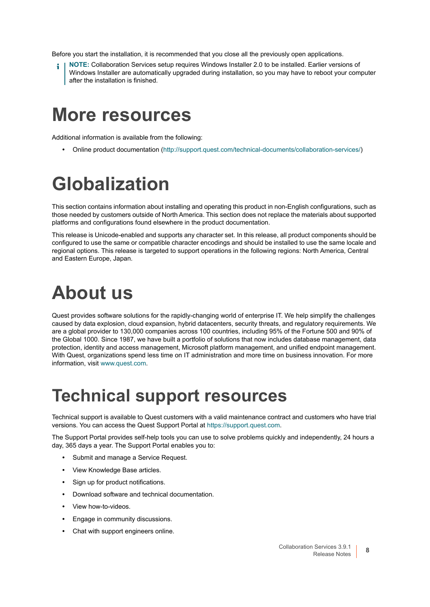Before you start the installation, it is recommended that you close all the previously open applications.

**NOTE:** Collaboration Services setup requires Windows Installer 2.0 to be installed. Earlier versions of Windows Installer are automatically upgraded during installation, so you may have to reboot your computer after the installation is finished.

### <span id="page-7-0"></span>**More resources**

Additional information is available from the following:

**•** Online product documentation [\(http://support.quest.com/technical-documents/collaboration-services/](http://support.quest.com/technical-documents/collaboration-services/))

# <span id="page-7-1"></span>**Globalization**

This section contains information about installing and operating this product in non-English configurations, such as those needed by customers outside of North America. This section does not replace the materials about supported platforms and configurations found elsewhere in the product documentation.

This release is Unicode-enabled and supports any character set. In this release, all product components should be configured to use the same or compatible character encodings and should be installed to use the same locale and regional options. This release is targeted to support operations in the following regions: North America, Central and Eastern Europe, Japan.

# <span id="page-7-2"></span>**About us**

Quest provides software solutions for the rapidly-changing world of enterprise IT. We help simplify the challenges caused by data explosion, cloud expansion, hybrid datacenters, security threats, and regulatory requirements. We are a global provider to 130,000 companies across 100 countries, including 95% of the Fortune 500 and 90% of the Global 1000. Since 1987, we have built a portfolio of solutions that now includes database management, data protection, identity and access management, Microsoft platform management, and unified endpoint management. With Quest, organizations spend less time on IT administration and more time on business innovation. For more information, visit [www.quest.com](https://www.quest.com/company/contact-us.aspx).

### **Technical support resources**

Technical support is available to Quest customers with a valid maintenance contract and customers who have trial versions. You can access the Quest Support Portal at [https://support.quest.com.](https://support.quest.com)

The Support Portal provides self-help tools you can use to solve problems quickly and independently, 24 hours a day, 365 days a year. The Support Portal enables you to:

- **•** Submit and manage a Service Request.
- **•** View Knowledge Base articles.
- **•** Sign up for product notifications.
- **•** Download software and technical documentation.
- **•** View how-to-videos.
- **•** Engage in community discussions.
- **•** Chat with support engineers online.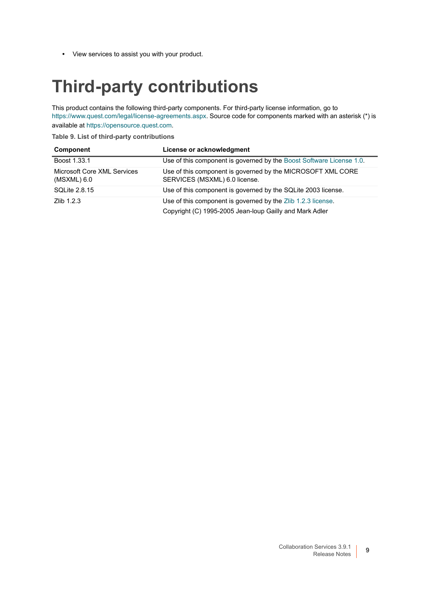**•** View services to assist you with your product.

### **Third-party contributions**

This product contains the following third-party components. For third-party license information, go to [https://www.quest.com/legal/license-agreements.aspx.](https://www.quest.com/legal/license-agreements.aspx) Source code for components marked with an asterisk (\*) is available at [https://opensource.quest.com.](https://opensource.quest.com)

**Table 9. List of third-party contributions**

| <b>Component</b>                           | License or acknowledgment                                                                    |
|--------------------------------------------|----------------------------------------------------------------------------------------------|
| Boost 1.33.1                               | Use of this component is governed by the Boost Software License 1.0.                         |
| Microsoft Core XML Services<br>(MSXML) 6.0 | Use of this component is governed by the MICROSOFT XML CORE<br>SERVICES (MSXML) 6.0 license. |
| <b>SQLite 2.8.15</b>                       | Use of this component is governed by the SQLite 2003 license.                                |
| Zlib $1.2.3$                               | Use of this component is governed by the Zlib 1.2.3 license.                                 |
|                                            | Copyright (C) 1995-2005 Jean-loup Gailly and Mark Adler                                      |